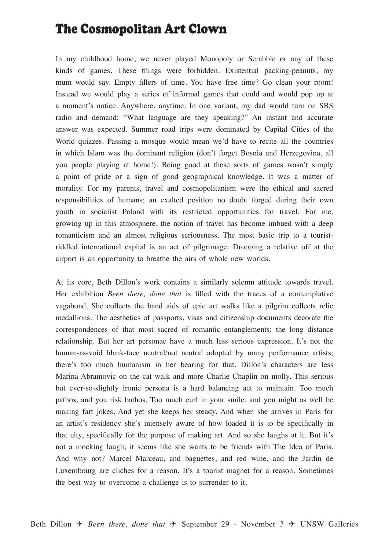## The Cosmopolitan Art Clown

In my childhood home, we never played Monopoly or Scrabble or any of these kinds of games. These things were forbidden. Existential packing-peanuts, my mum would say. Empty fillers of time. You have free time? Go clean your room! Instead we would play a series of informal games that could and would pop up at a moment's notice. Anywhere, anytime. In one variant, my dad would turn on SBS radio and demand: "What language are they speaking?" An instant and accurate answer was expected. Summer road trips were dominated by Capital Cities of the World quizzes. Passing a mosque would mean we'd have to recite all the countries in which Islam was the dominant religion (don't forget Bosnia and Herzegovina, all you people playing at home!). Being good at these sorts of games wasn't simply a point of pride or a sign of good geographical knowledge. It was a matter of morality. For my parents, travel and cosmopolitanism were the ethical and sacred responsibilities of humans; an exalted position no doubt forged during their own youth in socialist Poland with its restricted opportunities for travel. For me, growing up in this atmosphere, the notion of travel has become imbued with a deep romanticism and an almost religious seriousness. The most basic trip to a touristriddled international capital is an act of pilgrimage. Dropping a relative off at the airport is an opportunity to breathe the airs of whole new worlds.

At its core, Beth Dillon's work contains a similarly solemn attitude towards travel. Her exhibition *Been there, done that* is filled with the traces of a contemplative vagabond. She collects the band aids of epic art walks like a pilgrim collects relic medallions. The aesthetics of passports, visas and citizenship documents decorate the correspondences of that most sacred of romantic entanglements: the long distance relationship. But her art personae have a much less serious expression. It's not the human-as-void blank-face neutral/not neutral adopted by many performance artists; there's too much humanism in her bearing for that. Dillon's characters are less Marina Abramovic on the cat walk and more Charlie Chaplin on molly. This serious but ever-so-slightly ironic persona is a hard balancing act to maintain. Too much pathos, and you risk bathos. Too much curl in your smile, and you might as well be making fart jokes. And yet she keeps her steady. And when she arrives in Paris for an artist's residency she's intensely aware of how loaded it is to be specifically in that city, specifically for the purpose of making art. And so she laughs at it. But it's not a mocking laugh; it seems like she wants to be friends with The Idea of Paris. And why not? Marcel Marceau, and baguettes, and red wine, and the Jardin de Luxembourg are cliches for a reason. It's a tourist magnet for a reason. Sometimes the best way to overcome a challenge is to surrender to it.